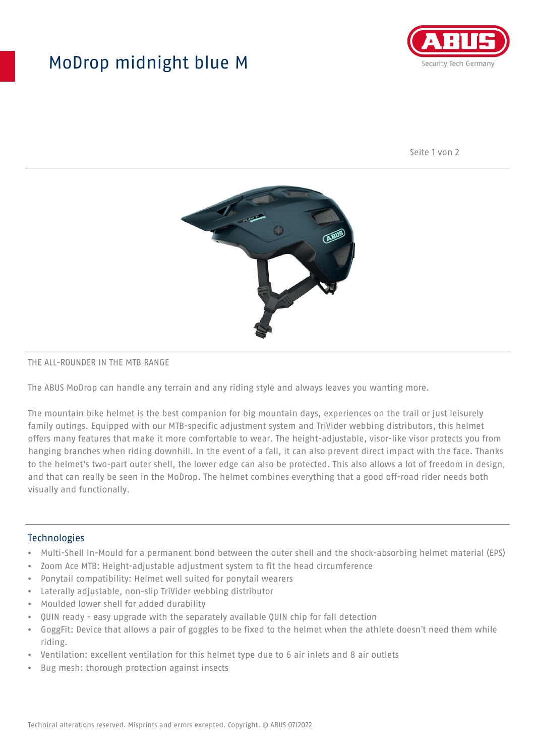## MoDrop midnight blue M



Seite 1 von 2



#### THE ALL-ROUNDER IN THE MTB RANGE

The ABUS MoDrop can handle any terrain and any riding style and always leaves you wanting more.

The mountain bike helmet is the best companion for big mountain days, experiences on the trail or just leisurely family outings. Equipped with our MTB-specific adjustment system and TriVider webbing distributors, this helmet offers many features that make it more comfortable to wear. The height-adjustable, visor-like visor protects you from hanging branches when riding downhill. In the event of a fall, it can also prevent direct impact with the face. Thanks to the helmet's two-part outer shell, the lower edge can also be protected. This also allows a lot of freedom in design, and that can really be seen in the MoDrop. The helmet combines everything that a good off-road rider needs both visually and functionally.

#### **Technologies**

- Multi-Shell In-Mould for a permanent bond between the outer shell and the shock-absorbing helmet material (EPS)
- Zoom Ace MTB: Height-adjustable adjustment system to fit the head circumference
- Ponytail compatibility: Helmet well suited for ponytail wearers
- Laterally adjustable, non-slip TriVider webbing distributor
- Moulded lower shell for added durability
- QUIN ready easy upgrade with the separately available QUIN chip for fall detection
- GoggFit: Device that allows a pair of goggles to be fixed to the helmet when the athlete doesn't need them while riding.
- Ventilation: excellent ventilation for this helmet type due to 6 air inlets and 8 air outlets
- Bug mesh: thorough protection against insects